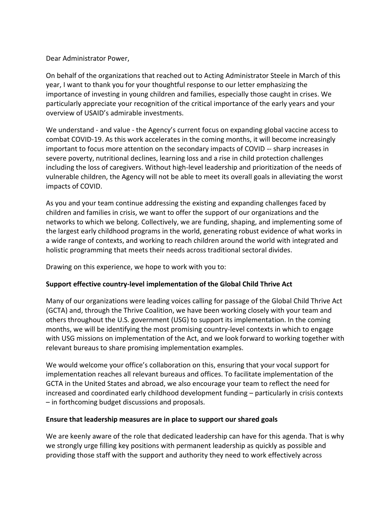## Dear Administrator Power,

On behalf of the organizations that reached out to Acting Administrator Steele in March of this year, I want to thank you for your thoughtful response to our letter emphasizing the importance of investing in young children and families, especially those caught in crises. We particularly appreciate your recognition of the critical importance of the early years and your overview of USAID's admirable investments.

We understand - and value - the Agency's current focus on expanding global vaccine access to combat COVID-19. As this work accelerates in the coming months, it will become increasingly important to focus more attention on the secondary impacts of COVID -- sharp increases in severe poverty, nutritional declines, learning loss and a rise in child protection challenges including the loss of caregivers. Without high-level leadership and prioritization of the needs of vulnerable children, the Agency will not be able to meet its overall goals in alleviating the worst impacts of COVID.

As you and your team continue addressing the existing and expanding challenges faced by children and families in crisis, we want to offer the support of our organizations and the networks to which we belong. Collectively, we are funding, shaping, and implementing some of the largest early childhood programs in the world, generating robust evidence of what works in a wide range of contexts, and working to reach children around the world with integrated and holistic programming that meets their needs across traditional sectoral divides.

Drawing on this experience, we hope to work with you to:

## **Support effective country-level implementation of the Global Child Thrive Act**

Many of our organizations were leading voices calling for passage of the Global Child Thrive Act (GCTA) and, through the Thrive Coalition, we have been working closely with your team and others throughout the U.S. government (USG) to support its implementation. In the coming months, we will be identifying the most promising country-level contexts in which to engage with USG missions on implementation of the Act, and we look forward to working together with relevant bureaus to share promising implementation examples.

We would welcome your office's collaboration on this, ensuring that your vocal support for implementation reaches all relevant bureaus and offices. To facilitate implementation of the GCTA in the United States and abroad, we also encourage your team to reflect the need for increased and coordinated early childhood development funding – particularly in crisis contexts – in forthcoming budget discussions and proposals.

## **Ensure that leadership measures are in place to support our shared goals**

We are keenly aware of the role that dedicated leadership can have for this agenda. That is why we strongly urge filling key positions with permanent leadership as quickly as possible and providing those staff with the support and authority they need to work effectively across